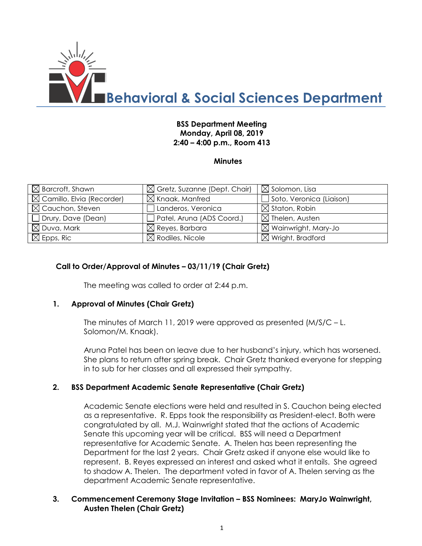

# **BSS Department Meeting Monday, April 08, 2019 2:40 – 4:00 p.m., Room 413**

### **Minutes**

| $\boxtimes$ Barcroft, Shawn           | $\boxtimes$ Gretz, Suzanne (Dept. Chair) | $\boxtimes$ Solomon, Lisa       |
|---------------------------------------|------------------------------------------|---------------------------------|
| $\boxtimes$ Camillo, Elvia (Recorder) | $\boxtimes$ Knaak, Manfred               | Soto, Veronica (Liaison)        |
| $\boxtimes$ Cauchon, Steven           | Landeros, Veronica                       | $\boxtimes$ Staton, Robin       |
| Drury, Dave (Dean)                    | Patel, Aruna (ADS Coord.)                | $\boxtimes$ Thelen, Austen      |
| $\boxtimes$ Duva, Mark                | $\boxtimes$ Reyes, Barbara               | $\boxtimes$ Wainwright, Mary-Jo |
| $\boxtimes$ Epps, Ric                 | $\boxtimes$ Rodiles, Nicole              | $\boxtimes$ Wright, Bradford    |

### **Call to Order/Approval of Minutes – 03/11/19 (Chair Gretz)**

The meeting was called to order at 2:44 p.m.

#### **1. Approval of Minutes (Chair Gretz)**

The minutes of March 11, 2019 were approved as presented (M/S/C – L. Solomon/M. Knaak).

Aruna Patel has been on leave due to her husband's injury, which has worsened. She plans to return after spring break. Chair Gretz thanked everyone for stepping in to sub for her classes and all expressed their sympathy.

#### **2. BSS Department Academic Senate Representative (Chair Gretz)**

Academic Senate elections were held and resulted in S. Cauchon being elected as a representative. R. Epps took the responsibility as President-elect. Both were congratulated by all. M.J. Wainwright stated that the actions of Academic Senate this upcoming year will be critical. BSS will need a Department representative for Academic Senate. A. Thelen has been representing the Department for the last 2 years. Chair Gretz asked if anyone else would like to represent. B. Reyes expressed an interest and asked what it entails. She agreed to shadow A. Thelen. The department voted in favor of A. Thelen serving as the department Academic Senate representative.

#### **3. Commencement Ceremony Stage Invitation – BSS Nominees: MaryJo Wainwright, Austen Thelen (Chair Gretz)**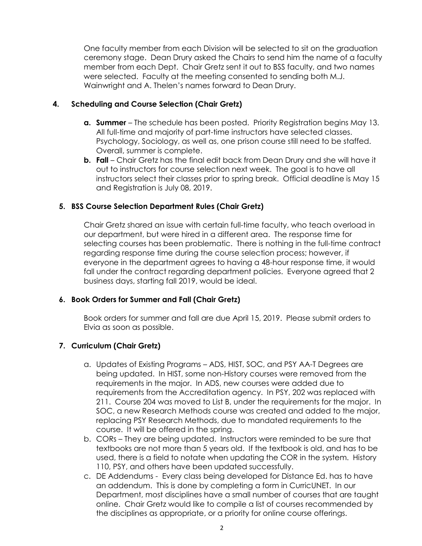One faculty member from each Division will be selected to sit on the graduation ceremony stage. Dean Drury asked the Chairs to send him the name of a faculty member from each Dept. Chair Gretz sent it out to BSS faculty, and two names were selected. Faculty at the meeting consented to sending both M.J. Wainwright and A. Thelen's names forward to Dean Drury.

## **4. Scheduling and Course Selection (Chair Gretz)**

- **a. Summer**  The schedule has been posted. Priority Registration begins May 13. All full-time and majority of part-time instructors have selected classes. Psychology, Sociology, as well as, one prison course still need to be staffed. Overall, summer is complete.
- **b.** Fall Chair Gretz has the final edit back from Dean Drury and she will have it out to instructors for course selection next week. The goal is to have all instructors select their classes prior to spring break. Official deadline is May 15 and Registration is July 08, 2019.

### **5. BSS Course Selection Department Rules (Chair Gretz)**

Chair Gretz shared an issue with certain full-time faculty, who teach overload in our department, but were hired in a different area. The response time for selecting courses has been problematic. There is nothing in the full-time contract regarding response time during the course selection process; however, if everyone in the department agrees to having a 48-hour response time, it would fall under the contract regarding department policies. Everyone agreed that 2 business days, starting fall 2019, would be ideal.

#### **6. Book Orders for Summer and Fall (Chair Gretz)**

Book orders for summer and fall are due April 15, 2019. Please submit orders to Elvia as soon as possible.

# **7. Curriculum (Chair Gretz)**

- a. Updates of Existing Programs ADS, HIST, SOC, and PSY AA-T Degrees are being updated. In HIST, some non-History courses were removed from the requirements in the major. In ADS, new courses were added due to requirements from the Accreditation agency. In PSY, 202 was replaced with 211. Course 204 was moved to List B, under the requirements for the major. In SOC, a new Research Methods course was created and added to the major, replacing PSY Research Methods, due to mandated requirements to the course. It will be offered in the spring.
- b. CORs They are being updated. Instructors were reminded to be sure that textbooks are not more than 5 years old. If the textbook is old, and has to be used, there is a field to notate when updating the COR in the system. History 110, PSY, and others have been updated successfully.
- c. DE Addendums Every class being developed for Distance Ed. has to have an addendum. This is done by completing a form in CurricUNET. In our Department, most disciplines have a small number of courses that are taught online. Chair Gretz would like to compile a list of courses recommended by the disciplines as appropriate, or a priority for online course offerings.